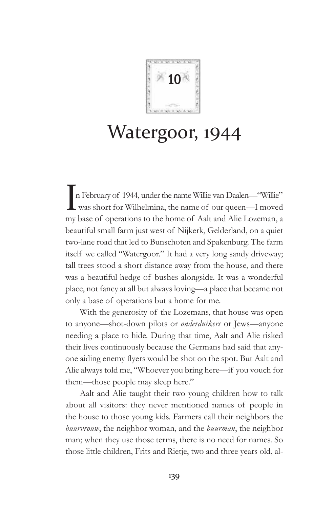10

# Watergoor, 1944

I n February of 1944, under the name Willie van Daalen—"Willie" was short for Wilhelmina, the name of our queen—I moved my base of operations to the home of Aalt and Alie Lozeman, a beautiful small farm just west of Nijkerk, Gelderland, on a quiet two-lane road that led to Bunschoten and Spakenburg. The farm itself we called "Watergoor." It had a very long sandy driveway; tall trees stood a short distance away from the house, and there was a beautiful hedge of bushes alongside. It was a wonderful place, not fancy at all but always loving—a place that became not only a base of operations but a home for me.

With the generosity of the Lozemans, that house was open to anyone—shot-down pilots or *onderduikers* or Jews—anyone needing a place to hide. During that time, Aalt and Alie risked their lives continuously because the Germans had said that anyone aiding enemy flyers would be shot on the spot. But Aalt and Alie always told me, "Whoever you bring here—if you vouch for them—those people may sleep here."

Aalt and Alie taught their two young children how to talk about all visitors: they never mentioned names of people in the house to those young kids. Farmers call their neighbors the *buurvrouw*, the neighbor woman, and the *buurman*, the neighbor man; when they use those terms, there is no need for names. So those little children, Frits and Rietje, two and three years old, al-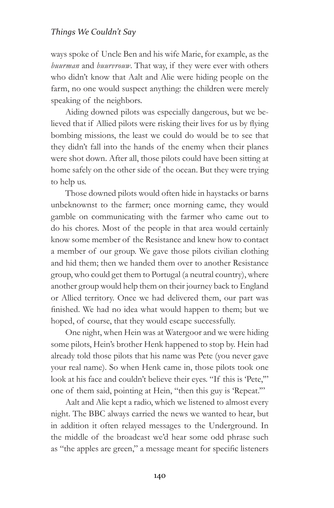ways spoke of Uncle Ben and his wife Marie, for example, as the *buurman* and *buurvrouw*. That way, if they were ever with others who didn't know that Aalt and Alie were hiding people on the farm, no one would suspect anything: the children were merely speaking of the neighbors.

Aiding downed pilots was especially dangerous, but we believed that if Allied pilots were risking their lives for us by flying bombing missions, the least we could do would be to see that they didn't fall into the hands of the enemy when their planes were shot down. After all, those pilots could have been sitting at home safely on the other side of the ocean. But they were trying to help us.

Those downed pilots would often hide in haystacks or barns unbeknownst to the farmer; once morning came, they would gamble on communicating with the farmer who came out to do his chores. Most of the people in that area would certainly know some member of the Resistance and knew how to contact a member of our group. We gave those pilots civilian clothing and hid them; then we handed them over to another Resistance group, who could get them to Portugal (a neutral country), where another group would help them on their journey back to England or Allied territory. Once we had delivered them, our part was finished. We had no idea what would happen to them; but we hoped, of course, that they would escape successfully.

One night, when Hein was at Watergoor and we were hiding some pilots, Hein's brother Henk happened to stop by. Hein had already told those pilots that his name was Pete (you never gave your real name). So when Henk came in, those pilots took one look at his face and couldn't believe their eyes. "If this is 'Pete,'" one of them said, pointing at Hein, "then this guy is 'Repeat.'"

Aalt and Alie kept a radio, which we listened to almost every night. The BBC always carried the news we wanted to hear, but in addition it often relayed messages to the Underground. In the middle of the broadcast we'd hear some odd phrase such as "the apples are green," a message meant for specific listeners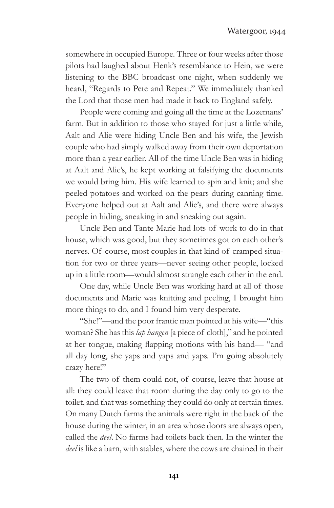somewhere in occupied Europe. Three or four weeks after those pilots had laughed about Henk's resemblance to Hein, we were listening to the BBC broadcast one night, when suddenly we heard, "Regards to Pete and Repeat." We immediately thanked the Lord that those men had made it back to England safely.

People were coming and going all the time at the Lozemans' farm. But in addition to those who stayed for just a little while, Aalt and Alie were hiding Uncle Ben and his wife, the Jewish couple who had simply walked away from their own deportation more than a year earlier. All of the time Uncle Ben was in hiding at Aalt and Alie's, he kept working at falsifying the documents we would bring him. His wife learned to spin and knit; and she peeled potatoes and worked on the pears during canning time. Everyone helped out at Aalt and Alie's, and there were always people in hiding, sneaking in and sneaking out again.

Uncle Ben and Tante Marie had lots of work to do in that house, which was good, but they sometimes got on each other's nerves. Of course, most couples in that kind of cramped situation for two or three years—never seeing other people, locked up in a little room—would almost strangle each other in the end.

One day, while Uncle Ben was working hard at all of those documents and Marie was knitting and peeling, I brought him more things to do, and I found him very desperate.

"She!"—and the poor frantic man pointed at his wife—"this woman? She has this *lap hangen* [a piece of cloth]," and he pointed at her tongue, making flapping motions with his hand— "and all day long, she yaps and yaps and yaps. I'm going absolutely crazy here!"

The two of them could not, of course, leave that house at all: they could leave that room during the day only to go to the toilet, and that was something they could do only at certain times. On many Dutch farms the animals were right in the back of the house during the winter, in an area whose doors are always open, called the *deel*. No farms had toilets back then. In the winter the *deel* is like a barn, with stables, where the cows are chained in their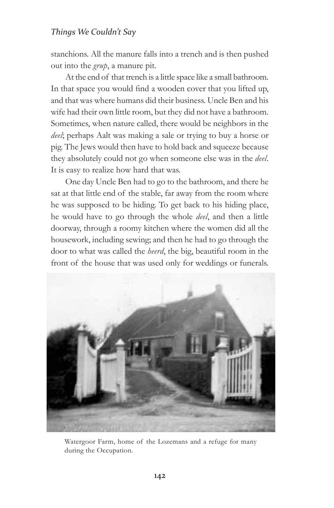stanchions. All the manure falls into a trench and is then pushed out into the *grup*, a manure pit.

At the end of that trench is a little space like a small bathroom. In that space you would find a wooden cover that you lifted up, and that was where humans did their business. Uncle Ben and his wife had their own little room, but they did not have a bathroom. Sometimes, when nature called, there would be neighbors in the *deel*; perhaps Aalt was making a sale or trying to buy a horse or pig. The Jews would then have to hold back and squeeze because they absolutely could not go when someone else was in the *deel*. It is easy to realize how hard that was.

One day Uncle Ben had to go to the bathroom, and there he sat at that little end of the stable, far away from the room where he was supposed to be hiding. To get back to his hiding place, he would have to go through the whole *deel*, and then a little doorway, through a roomy kitchen where the women did all the housework, including sewing; and then he had to go through the door to what was called the *heerd*, the big, beautiful room in the front of the house that was used only for weddings or funerals.



Watergoor Farm, home of the Lozemans and a refuge for many during the Occupation.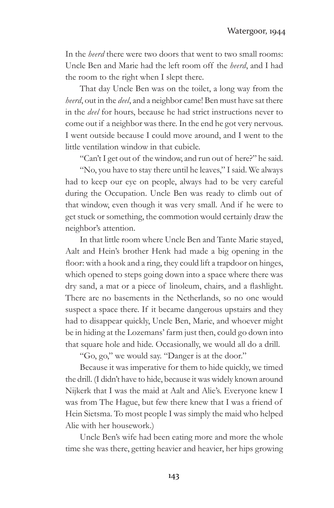In the *heerd* there were two doors that went to two small rooms: Uncle Ben and Marie had the left room off the *heerd*, and I had the room to the right when I slept there.

That day Uncle Ben was on the toilet, a long way from the *heerd*, out in the *deel*, and a neighbor came! Ben must have sat there in the *deel* for hours, because he had strict instructions never to come out if a neighbor was there. In the end he got very nervous. I went outside because I could move around, and I went to the little ventilation window in that cubicle.

"Can't I get out of the window, and run out of here?" he said.

"No, you have to stay there until he leaves," I said. We always had to keep our eye on people, always had to be very careful during the Occupation. Uncle Ben was ready to climb out of that window, even though it was very small. And if he were to get stuck or something, the commotion would certainly draw the neighbor's attention.

In that little room where Uncle Ben and Tante Marie stayed, Aalt and Hein's brother Henk had made a big opening in the floor: with a hook and a ring, they could lift a trapdoor on hinges, which opened to steps going down into a space where there was dry sand, a mat or a piece of linoleum, chairs, and a flashlight. There are no basements in the Netherlands, so no one would suspect a space there. If it became dangerous upstairs and they had to disappear quickly, Uncle Ben, Marie, and whoever might be in hiding at the Lozemans' farm just then, could go down into that square hole and hide. Occasionally, we would all do a drill.

"Go, go," we would say. "Danger is at the door."

Because it was imperative for them to hide quickly, we timed the drill. (I didn't have to hide, because it was widely known around Nijkerk that I was the maid at Aalt and Alie's. Everyone knew I was from The Hague, but few there knew that I was a friend of Hein Sietsma. To most people I was simply the maid who helped Alie with her housework.)

Uncle Ben's wife had been eating more and more the whole time she was there, getting heavier and heavier, her hips growing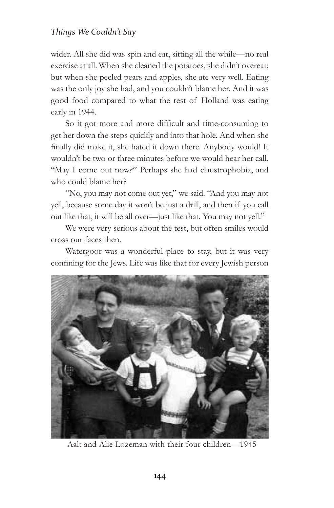wider. All she did was spin and eat, sitting all the while—no real exercise at all. When she cleaned the potatoes, she didn't overeat; but when she peeled pears and apples, she ate very well. Eating was the only joy she had, and you couldn't blame her. And it was good food compared to what the rest of Holland was eating early in 1944.

So it got more and more difficult and time-consuming to get her down the steps quickly and into that hole. And when she finally did make it, she hated it down there. Anybody would! It wouldn't be two or three minutes before we would hear her call, "May I come out now?" Perhaps she had claustrophobia, and who could blame her?

"No, you may not come out yet," we said. "And you may not yell, because some day it won't be just a drill, and then if you call out like that, it will be all over—just like that. You may not yell."

We were very serious about the test, but often smiles would cross our faces then.

Watergoor was a wonderful place to stay, but it was very confining for the Jews. Life was like that for every Jewish person



Aalt and Alie Lozeman with their four children—1945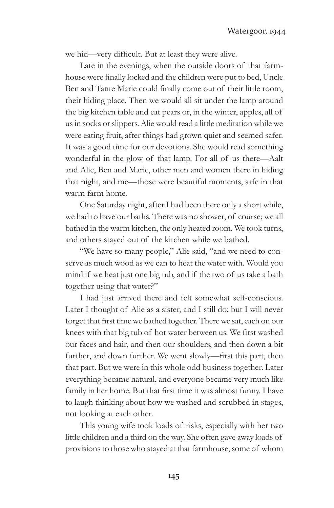we hid—very difficult. But at least they were alive.

Late in the evenings, when the outside doors of that farmhouse were finally locked and the children were put to bed, Uncle Ben and Tante Marie could finally come out of their little room, their hiding place. Then we would all sit under the lamp around the big kitchen table and eat pears or, in the winter, apples, all of us in socks or slippers. Alie would read a little meditation while we were eating fruit, after things had grown quiet and seemed safer. It was a good time for our devotions. She would read something wonderful in the glow of that lamp. For all of us there—Aalt and Alie, Ben and Marie, other men and women there in hiding that night, and me—those were beautiful moments, safe in that warm farm home.

One Saturday night, after I had been there only a short while, we had to have our baths. There was no shower, of course; we all bathed in the warm kitchen, the only heated room. We took turns, and others stayed out of the kitchen while we bathed.

"We have so many people," Alie said, "and we need to conserve as much wood as we can to heat the water with. Would you mind if we heat just one big tub, and if the two of us take a bath together using that water?"

I had just arrived there and felt somewhat self-conscious. Later I thought of Alie as a sister, and I still do; but I will never forget that first time we bathed together. There we sat, each on our knees with that big tub of hot water between us. We first washed our faces and hair, and then our shoulders, and then down a bit further, and down further. We went slowly—first this part, then that part. But we were in this whole odd business together. Later everything became natural, and everyone became very much like family in her home. But that first time it was almost funny. I have to laugh thinking about how we washed and scrubbed in stages, not looking at each other.

This young wife took loads of risks, especially with her two little children and a third on the way. She often gave away loads of provisions to those who stayed at that farmhouse, some of whom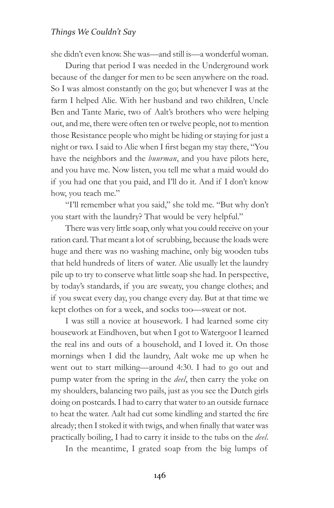she didn't even know. She was—and still is—a wonderful woman.

During that period I was needed in the Underground work because of the danger for men to be seen anywhere on the road. So I was almost constantly on the go; but whenever I was at the farm I helped Alie. With her husband and two children, Uncle Ben and Tante Marie, two of Aalt's brothers who were helping out, and me, there were often ten or twelve people, not to mention those Resistance people who might be hiding or staying for just a night or two. I said to Alie when I first began my stay there, "You have the neighbors and the *buurman*, and you have pilots here, and you have me. Now listen, you tell me what a maid would do if you had one that you paid, and I'll do it. And if I don't know how, you teach me."

"I'll remember what you said," she told me. "But why don't you start with the laundry? That would be very helpful."

There was very little soap, only what you could receive on your ration card. That meant a lot of scrubbing, because the loads were huge and there was no washing machine, only big wooden tubs that held hundreds of liters of water. Alie usually let the laundry pile up to try to conserve what little soap she had. In perspective, by today's standards, if you are sweaty, you change clothes; and if you sweat every day, you change every day. But at that time we kept clothes on for a week, and socks too—sweat or not.

I was still a novice at housework. I had learned some city housework at Eindhoven, but when I got to Watergoor I learned the real ins and outs of a household, and I loved it. On those mornings when I did the laundry, Aalt woke me up when he went out to start milking—around 4:30. I had to go out and pump water from the spring in the *deel*, then carry the yoke on my shoulders, balancing two pails, just as you see the Dutch girls doing on postcards. I had to carry that water to an outside furnace to heat the water. Aalt had cut some kindling and started the fire already; then I stoked it with twigs, and when finally that water was practically boiling, I had to carry it inside to the tubs on the *deel*.

In the meantime, I grated soap from the big lumps of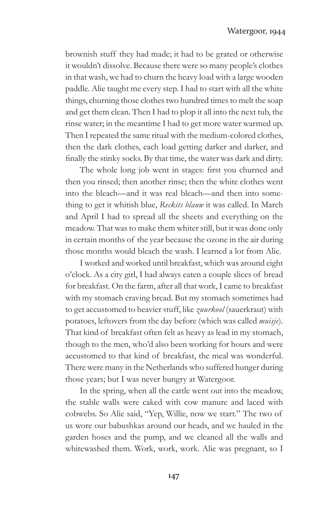brownish stuff they had made; it had to be grated or otherwise it wouldn't dissolve. Because there were so many people's clothes in that wash, we had to churn the heavy load with a large wooden paddle. Alie taught me every step. I had to start with all the white things, churning those clothes two hundred times to melt the soap and get them clean. Then I had to plop it all into the next tub, the rinse water; in the meantime I had to get more water warmed up. Then I repeated the same ritual with the medium-colored clothes, then the dark clothes, each load getting darker and darker, and finally the stinky socks. By that time, the water was dark and dirty.

The whole long job went in stages: first you churned and then you rinsed; then another rinse; then the white clothes went into the bleach—and it was real bleach—and then into something to get it whitish blue, *Reckits blauw* it was called. In March and April I had to spread all the sheets and everything on the meadow. That was to make them whiter still, but it was done only in certain months of the year because the ozone in the air during those months would bleach the wash. I learned a lot from Alie.

I worked and worked until breakfast, which was around eight o'clock. As a city girl, I had always eaten a couple slices of bread for breakfast. On the farm, after all that work, I came to breakfast with my stomach craving bread. But my stomach sometimes had to get accustomed to heavier stuff, like *zuurkool* (sauerkraut) with potatoes, leftovers from the day before (which was called *muisje*). That kind of breakfast often felt as heavy as lead in my stomach, though to the men, who'd also been working for hours and were accustomed to that kind of breakfast, the meal was wonderful. There were many in the Netherlands who suffered hunger during those years; but I was never hungry at Watergoor.

In the spring, when all the cattle went out into the meadow, the stable walls were caked with cow manure and laced with cobwebs. So Alie said, "Yep, Willie, now we start." The two of us wore our babushkas around our heads, and we hauled in the garden hoses and the pump, and we cleaned all the walls and whitewashed them. Work, work, work. Alie was pregnant, so I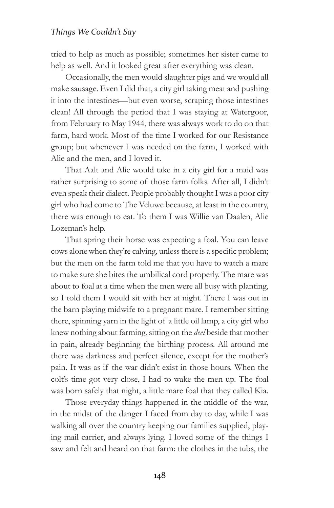tried to help as much as possible; sometimes her sister came to help as well. And it looked great after everything was clean.

Occasionally, the men would slaughter pigs and we would all make sausage. Even I did that, a city girl taking meat and pushing it into the intestines—but even worse, scraping those intestines clean! All through the period that I was staying at Watergoor, from February to May 1944, there was always work to do on that farm, hard work. Most of the time I worked for our Resistance group; but whenever I was needed on the farm, I worked with Alie and the men, and I loved it.

That Aalt and Alie would take in a city girl for a maid was rather surprising to some of those farm folks. After all, I didn't even speak their dialect. People probably thought I was a poor city girl who had come to The Veluwe because, at least in the country, there was enough to eat. To them I was Willie van Daalen, Alie Lozeman's help.

That spring their horse was expecting a foal. You can leave cows alone when they're calving, unless there is a specific problem; but the men on the farm told me that you have to watch a mare to make sure she bites the umbilical cord properly. The mare was about to foal at a time when the men were all busy with planting, so I told them I would sit with her at night. There I was out in the barn playing midwife to a pregnant mare. I remember sitting there, spinning yarn in the light of a little oil lamp, a city girl who knew nothing about farming, sitting on the *deel* beside that mother in pain, already beginning the birthing process. All around me there was darkness and perfect silence, except for the mother's pain. It was as if the war didn't exist in those hours. When the colt's time got very close, I had to wake the men up. The foal was born safely that night, a little mare foal that they called Kia.

Those everyday things happened in the middle of the war, in the midst of the danger I faced from day to day, while I was walking all over the country keeping our families supplied, playing mail carrier, and always lying. I loved some of the things I saw and felt and heard on that farm: the clothes in the tubs, the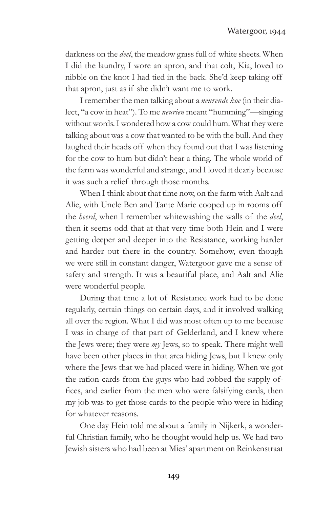darkness on the *deel*, the meadow grass full of white sheets. When I did the laundry, I wore an apron, and that colt, Kia, loved to nibble on the knot I had tied in the back. She'd keep taking off that apron, just as if she didn't want me to work.

I remember the men talking about a *neurende koe* (in their dialect, "a cow in heat"). To me *neurien* meant "humming"—singing without words. I wondered how a cow could hum. What they were talking about was a cow that wanted to be with the bull. And they laughed their heads off when they found out that I was listening for the cow to hum but didn't hear a thing. The whole world of the farm was wonderful and strange, and I loved it dearly because it was such a relief through those months.

When I think about that time now, on the farm with Aalt and Alie, with Uncle Ben and Tante Marie cooped up in rooms off the *heerd*, when I remember whitewashing the walls of the *deel*, then it seems odd that at that very time both Hein and I were getting deeper and deeper into the Resistance, working harder and harder out there in the country. Somehow, even though we were still in constant danger, Watergoor gave me a sense of safety and strength. It was a beautiful place, and Aalt and Alie were wonderful people.

During that time a lot of Resistance work had to be done regularly, certain things on certain days, and it involved walking all over the region. What I did was most often up to me because I was in charge of that part of Gelderland, and I knew where the Jews were; they were *my* Jews, so to speak. There might well have been other places in that area hiding Jews, but I knew only where the Jews that we had placed were in hiding. When we got the ration cards from the guys who had robbed the supply offices, and earlier from the men who were falsifying cards, then my job was to get those cards to the people who were in hiding for whatever reasons.

One day Hein told me about a family in Nijkerk, a wonderful Christian family, who he thought would help us. We had two Jewish sisters who had been at Mies' apartment on Reinkenstraat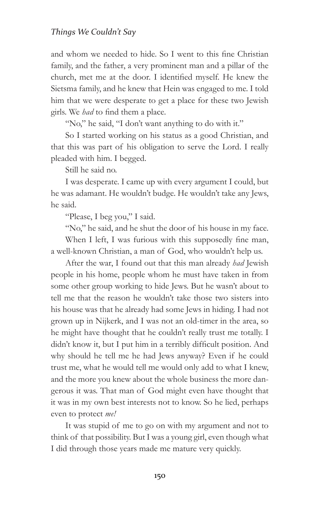and whom we needed to hide. So I went to this fine Christian family, and the father, a very prominent man and a pillar of the church, met me at the door. I identified myself. He knew the Sietsma family, and he knew that Hein was engaged to me. I told him that we were desperate to get a place for these two Jewish girls. We *had* to find them a place.

"No," he said, "I don't want anything to do with it."

So I started working on his status as a good Christian, and that this was part of his obligation to serve the Lord. I really pleaded with him. I begged.

Still he said no.

I was desperate. I came up with every argument I could, but he was adamant. He wouldn't budge. He wouldn't take any Jews, he said.

"Please, I beg you," I said.

"No," he said, and he shut the door of his house in my face. When I left, I was furious with this supposedly fine man, a well-known Christian, a man of God, who wouldn't help us.

After the war, I found out that this man already *had* Jewish people in his home, people whom he must have taken in from some other group working to hide Jews. But he wasn't about to tell me that the reason he wouldn't take those two sisters into his house was that he already had some Jews in hiding. I had not grown up in Nijkerk, and I was not an old-timer in the area, so he might have thought that he couldn't really trust me totally. I didn't know it, but I put him in a terribly difficult position. And why should he tell me he had Jews anyway? Even if he could trust me, what he would tell me would only add to what I knew, and the more you knew about the whole business the more dangerous it was. That man of God might even have thought that it was in my own best interests not to know. So he lied, perhaps even to protect *me!*

It was stupid of me to go on with my argument and not to think of that possibility. But I was a young girl, even though what I did through those years made me mature very quickly.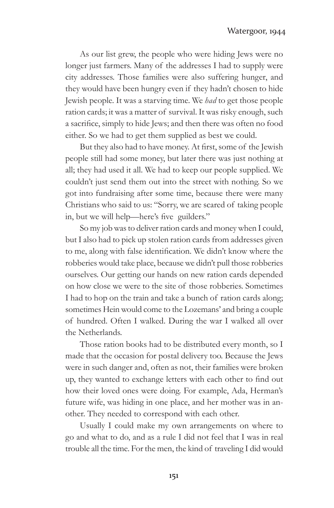As our list grew, the people who were hiding Jews were no longer just farmers. Many of the addresses I had to supply were city addresses. Those families were also suffering hunger, and they would have been hungry even if they hadn't chosen to hide Jewish people. It was a starving time. We *had* to get those people ration cards; it was a matter of survival. It was risky enough, such a sacrifice, simply to hide Jews; and then there was often no food either. So we had to get them supplied as best we could.

But they also had to have money. At first, some of the Jewish people still had some money, but later there was just nothing at all; they had used it all. We had to keep our people supplied. We couldn't just send them out into the street with nothing. So we got into fundraising after some time, because there were many Christians who said to us: "Sorry, we are scared of taking people in, but we will help—here's five guilders."

So my job was to deliver ration cards and money when I could, but I also had to pick up stolen ration cards from addresses given to me, along with false identification. We didn't know where the robberies would take place, because we didn't pull those robberies ourselves. Our getting our hands on new ration cards depended on how close we were to the site of those robberies. Sometimes I had to hop on the train and take a bunch of ration cards along; sometimes Hein would come to the Lozemans' and bring a couple of hundred. Often I walked. During the war I walked all over the Netherlands.

Those ration books had to be distributed every month, so I made that the occasion for postal delivery too. Because the Jews were in such danger and, often as not, their families were broken up, they wanted to exchange letters with each other to find out how their loved ones were doing. For example, Ada, Herman's future wife, was hiding in one place, and her mother was in another. They needed to correspond with each other.

Usually I could make my own arrangements on where to go and what to do, and as a rule I did not feel that I was in real trouble all the time. For the men, the kind of traveling I did would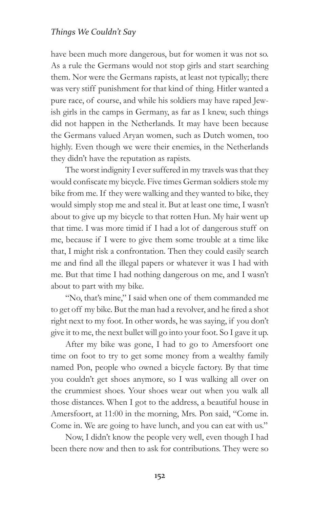have been much more dangerous, but for women it was not so. As a rule the Germans would not stop girls and start searching them. Nor were the Germans rapists, at least not typically; there was very stiff punishment for that kind of thing. Hitler wanted a pure race, of course, and while his soldiers may have raped Jewish girls in the camps in Germany, as far as I knew, such things did not happen in the Netherlands. It may have been because the Germans valued Aryan women, such as Dutch women, too highly. Even though we were their enemies, in the Netherlands they didn't have the reputation as rapists.

The worst indignity I ever suffered in my travels was that they would confiscate my bicycle. Five times German soldiers stole my bike from me. If they were walking and they wanted to bike, they would simply stop me and steal it. But at least one time, I wasn't about to give up my bicycle to that rotten Hun. My hair went up that time. I was more timid if I had a lot of dangerous stuff on me, because if I were to give them some trouble at a time like that, I might risk a confrontation. Then they could easily search me and find all the illegal papers or whatever it was I had with me. But that time I had nothing dangerous on me, and I wasn't about to part with my bike.

"No, that's mine," I said when one of them commanded me to get off my bike. But the man had a revolver, and he fired a shot right next to my foot. In other words, he was saying, if you don't give it to me, the next bullet will go into your foot. So I gave it up.

After my bike was gone, I had to go to Amersfoort one time on foot to try to get some money from a wealthy family named Pon, people who owned a bicycle factory. By that time you couldn't get shoes anymore, so I was walking all over on the crummiest shoes. Your shoes wear out when you walk all those distances. When I got to the address, a beautiful house in Amersfoort, at 11:00 in the morning, Mrs. Pon said, "Come in. Come in. We are going to have lunch, and you can eat with us."

Now, I didn't know the people very well, even though I had been there now and then to ask for contributions. They were so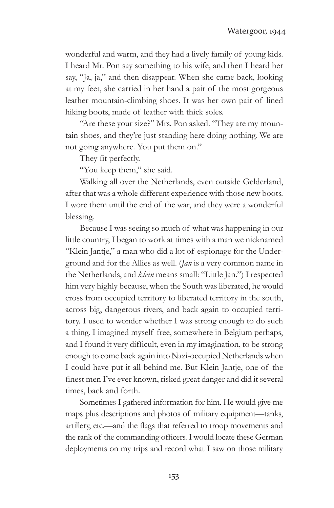wonderful and warm, and they had a lively family of young kids. I heard Mr. Pon say something to his wife, and then I heard her say, "Ja, ja," and then disappear. When she came back, looking at my feet, she carried in her hand a pair of the most gorgeous leather mountain-climbing shoes. It was her own pair of lined hiking boots, made of leather with thick soles.

"Are these your size?" Mrs. Pon asked. "They are my mountain shoes, and they're just standing here doing nothing. We are not going anywhere. You put them on."

They fit perfectly.

"You keep them," she said.

Walking all over the Netherlands, even outside Gelderland, after that was a whole different experience with those new boots. I wore them until the end of the war, and they were a wonderful blessing.

Because I was seeing so much of what was happening in our little country, I began to work at times with a man we nicknamed "Klein Jantje," a man who did a lot of espionage for the Underground and for the Allies as well. (*Jan* is a very common name in the Netherlands, and *klein* means small: "Little Jan.") I respected him very highly because, when the South was liberated, he would cross from occupied territory to liberated territory in the south, across big, dangerous rivers, and back again to occupied territory. I used to wonder whether I was strong enough to do such a thing. I imagined myself free, somewhere in Belgium perhaps, and I found it very difficult, even in my imagination, to be strong enough to come back again into Nazi-occupied Netherlands when I could have put it all behind me. But Klein Jantje, one of the finest men I've ever known, risked great danger and did it several times, back and forth.

Sometimes I gathered information for him. He would give me maps plus descriptions and photos of military equipment—tanks, artillery, etc.—and the flags that referred to troop movements and the rank of the commanding officers. I would locate these German deployments on my trips and record what I saw on those military